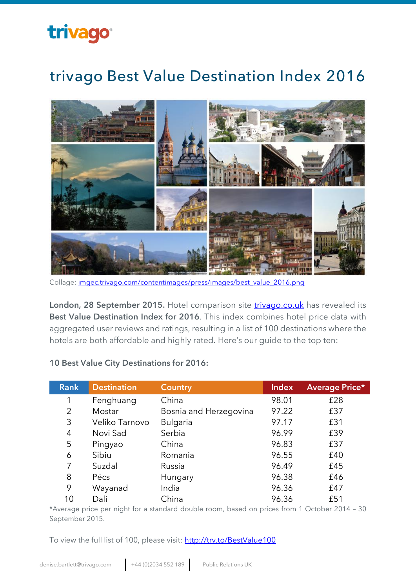### trivago®

### trivago Best Value Destination Index 2016



Collage: [imgec.trivago.com/contentimages/press/images/best\\_value\\_2016.png](http://imgec.trivago.com/contentimages/press/images/best_value_2016.png)

**London, 28 September 2015.** Hotel comparison site **[trivago.co.uk](http://www.trivago.co.uk/)** has revealed its **Best Value Destination Index for 2016**. This index combines hotel price data with aggregated user reviews and ratings, resulting in a list of 100 destinations where the hotels are both affordable and highly rated. Here's our guide to the top ten:

#### **10 Best Value City Destinations for 2016:**

| <b>Rank</b> | <b>Destination</b> | <b>Country</b>         | <b>Index</b> | <b>Average Price*</b> |
|-------------|--------------------|------------------------|--------------|-----------------------|
| 1           | Fenghuang          | China                  | 98.01        | £28                   |
| 2           | Mostar             | Bosnia and Herzegovina | 97.22        | £37                   |
| 3           | Veliko Tarnovo     | <b>Bulgaria</b>        | 97.17        | £31                   |
| 4           | Novi Sad           | Serbia                 | 96.99        | £39                   |
| 5           | Pingyao            | China                  | 96.83        | £37                   |
| 6           | Sibiu              | Romania                | 96.55        | £40                   |
|             | Suzdal             | Russia                 | 96.49        | £45                   |
| 8           | Pécs               | Hungary                | 96.38        | £46                   |
| 9           | Wayanad            | India                  | 96.36        | £47                   |
| 10          | Dali               | China                  | 96.36        | £51                   |

\*Average price per night for a standard double room, based on prices from 1 October 2014 – 30 September 2015.

To view the full list of 100, please visit:<http://trv.to/BestValue100>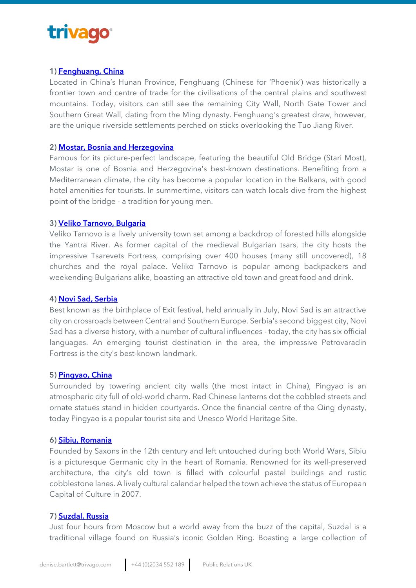### trivago

#### **1) [Fenghuang, China](http://www.trivago.co.uk/fenghuang-365336/hotel)**

Located in China's Hunan Province, Fenghuang (Chinese for 'Phoenix') was historically a frontier town and centre of trade for the civilisations of the central plains and southwest mountains. Today, visitors can still see the remaining City Wall, North Gate Tower and Southern Great Wall, dating from the Ming dynasty. Fenghuang's greatest draw, however, are the unique riverside settlements perched on sticks overlooking the Tuo Jiang River.

#### **2) [Mostar, Bosnia and Herzegovina](http://www.trivago.co.uk/mostar-92444/hotel)**

Famous for its picture-perfect landscape, featuring the beautiful Old Bridge (Stari Most), Mostar is one of Bosnia and Herzegovina's best-known destinations. Benefiting from a Mediterranean climate, the city has become a popular location in the Balkans, with good hotel amenities for tourists. In summertime, visitors can watch locals dive from the highest point of the bridge - a tradition for young men.

#### **3) [Veliko Tarnovo, Bulgaria](http://www.trivago.co.uk/veliko-tarnovo-648/hotel)**

Veliko Tarnovo is a lively university town set among a backdrop of forested hills alongside the Yantra River. As former capital of the medieval Bulgarian tsars, the city hosts the impressive Tsarevets Fortress, comprising over 400 houses (many still uncovered), 18 churches and the royal palace. Veliko Tarnovo is popular among backpackers and weekending Bulgarians alike, boasting an attractive old town and great food and drink.

#### **4) [Novi Sad, Serbia](http://www.trivago.co.uk/novi-sad-444566/hotel)**

Best known as the birthplace of Exit festival, held annually in July, Novi Sad is an attractive city on crossroads between Central and Southern Europe. Serbia's second biggest city, Novi Sad has a diverse history, with a number of cultural influences - today, the city has six official languages. An emerging tourist destination in the area, the impressive Petrovaradin Fortress is the city's best-known landmark.

#### **5) [Pingyao, China](http://www.trivago.co.uk/pingyao-335636/hotel)**

Surrounded by towering ancient city walls (the most intact in China), Pingyao is an atmospheric city full of old-world charm. Red Chinese lanterns dot the cobbled streets and ornate statues stand in hidden courtyards. Once the financial centre of the Qing dynasty, today Pingyao is a popular tourist site and Unesco World Heritage Site.

#### **6) [Sibiu, Romania](http://www.trivago.co.uk/sibiu-86640/hotel)**

Founded by Saxons in the 12th century and left untouched during both World Wars, Sibiu is a picturesque Germanic city in the heart of Romania. Renowned for its well-preserved architecture, the city's old town is filled with colourful pastel buildings and rustic cobblestone lanes. A lively cultural calendar helped the town achieve the status of European Capital of Culture in 2007.

#### **7) [Suzdal, Russia](http://www.trivago.co.uk/suzdal--92741/hotel)**

Just four hours from Moscow but a world away from the buzz of the capital, Suzdal is a traditional village found on Russia's iconic Golden Ring. Boasting a large collection of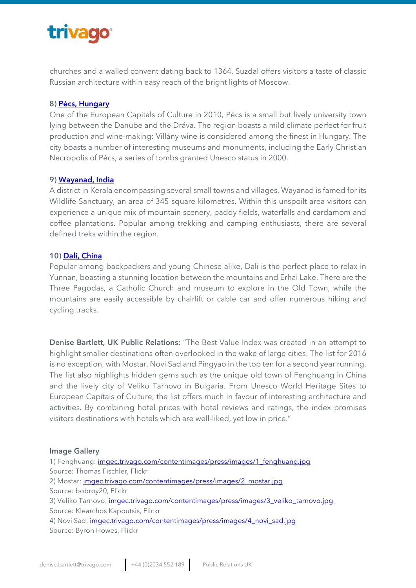## trivago

churches and a walled convent dating back to 1364, Suzdal offers visitors a taste of classic Russian architecture within easy reach of the bright lights of Moscow.

#### **8) [Pécs, Hungary](http://www.trivago.co.uk/pecs-80861/hotel)**

One of the European Capitals of Culture in 2010, Pécs is a small but lively university town lying between the Danube and the Dráva. The region boasts a mild climate perfect for fruit production and wine-making: Villány wine is considered among the finest in Hungary. The city boasts a number of interesting museums and monuments, including the Early Christian Necropolis of Pécs, a series of tombs granted Unesco status in 2000.

#### **9) [Wayanad, India](http://www.trivago.co.uk/wayanad-101523/hotel)**

A district in Kerala encompassing several small towns and villages, Wayanad is famed for its Wildlife Sanctuary, an area of 345 square kilometres. Within this unspoilt area visitors can experience a unique mix of mountain scenery, paddy fields, waterfalls and cardamom and coffee plantations. Popular among trekking and camping enthusiasts, there are several defined treks within the region.

#### **10) [Dali, China](http://www.trivago.co.uk/dali-451425/hotel)**

Popular among backpackers and young Chinese alike, Dali is the perfect place to relax in Yunnan, boasting a stunning location between the mountains and Erhai Lake. There are the Three Pagodas, a Catholic Church and museum to explore in the Old Town, while the mountains are easily accessible by chairlift or cable car and offer numerous hiking and cycling tracks.

**Denise Bartlett, UK Public Relations:** "The Best Value Index was created in an attempt to highlight smaller destinations often overlooked in the wake of large cities. The list for 2016 is no exception, with Mostar, Novi Sad and Pingyao in the top ten for a second year running. The list also highlights hidden gems such as the unique old town of Fenghuang in China and the lively city of Veliko Tarnovo in Bulgaria. From Unesco World Heritage Sites to European Capitals of Culture, the list offers much in favour of interesting architecture and activities. By combining hotel prices with hotel reviews and ratings, the index promises visitors destinations with hotels which are well-liked, yet low in price."

#### **Image Gallery**

1) Fenghuang: *imgec.trivago.com/contentimages/press/images/1* fenghuang.jpg Source: Thomas Fischler, Flickr 2) Mostar: [imgec.trivago.com/contentimages/press/images/2\\_mostar.jpg](http://imgec.trivago.com/contentimages/press/images/2_mostar.jpg) Source: bobroy20, Flickr 3) Veliko Tarnovo: [imgec.trivago.com/contentimages/press/images/3\\_veliko\\_tarnovo.jpg](http://imgec.trivago.com/contentimages/press/images/3_veliko_tarnovo.jpg) Source: Klearchos Kapoutsis, Flickr 4) Novi Sad: *imgec.trivago.com/contentimages/press/images/4 novi sad.jpg* Source: Byron Howes, Flickr